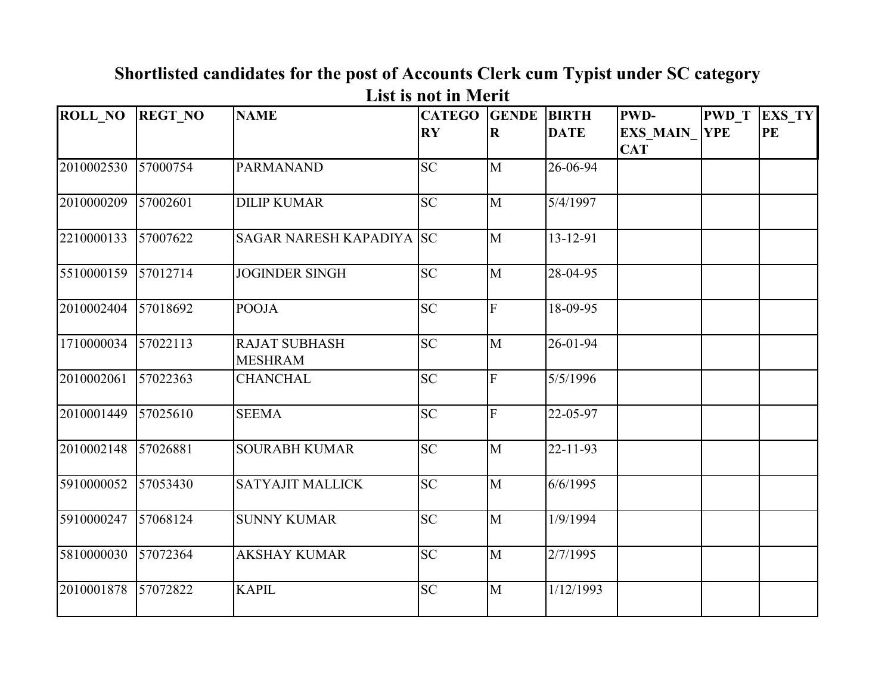| <b>ROLL NO</b> | <b>REGT NO</b> | <b>NAME</b>                            | <b>CATEGO GENDE</b><br>$\mathbf{R}\mathbf{Y}$ | $\mathbf R$    | <b>BIRTH</b><br><b>DATE</b> | <b>PWD-</b><br><b>EXS MAIN</b><br><b>CAT</b> | <b>PWD T</b><br><b>YPE</b> | EXS_TY<br>PE |
|----------------|----------------|----------------------------------------|-----------------------------------------------|----------------|-----------------------------|----------------------------------------------|----------------------------|--------------|
| 2010002530     | 57000754       | <b>PARMANAND</b>                       | <b>SC</b>                                     | M              | 26-06-94                    |                                              |                            |              |
| 2010000209     | 57002601       | <b>DILIP KUMAR</b>                     | <b>SC</b>                                     | M              | 5/4/1997                    |                                              |                            |              |
| 2210000133     | 57007622       | <b>SAGAR NARESH KAPADIYA SC</b>        |                                               | M              | 13-12-91                    |                                              |                            |              |
| 5510000159     | 57012714       | <b>JOGINDER SINGH</b>                  | <b>SC</b>                                     | M              | 28-04-95                    |                                              |                            |              |
| 2010002404     | 57018692       | <b>POOJA</b>                           | <b>SC</b>                                     | $\overline{F}$ | 18-09-95                    |                                              |                            |              |
| 1710000034     | 57022113       | <b>RAJAT SUBHASH</b><br><b>MESHRAM</b> | <b>SC</b>                                     | $\mathbf{M}$   | 26-01-94                    |                                              |                            |              |
| 2010002061     | 57022363       | <b>CHANCHAL</b>                        | <b>SC</b>                                     | F              | 5/5/1996                    |                                              |                            |              |
| 2010001449     | 57025610       | <b>SEEMA</b>                           | <b>SC</b>                                     | F              | 22-05-97                    |                                              |                            |              |
| 2010002148     | 57026881       | <b>SOURABH KUMAR</b>                   | <b>SC</b>                                     | M              | $22 - 11 - 93$              |                                              |                            |              |
| 5910000052     | 57053430       | <b>SATYAJIT MALLICK</b>                | <b>SC</b>                                     | M              | 6/6/1995                    |                                              |                            |              |
| 5910000247     | 57068124       | <b>SUNNY KUMAR</b>                     | <b>SC</b>                                     | M              | 1/9/1994                    |                                              |                            |              |
| 5810000030     | 57072364       | <b>AKSHAY KUMAR</b>                    | <b>SC</b>                                     | M              | 2/7/1995                    |                                              |                            |              |
| 2010001878     | 57072822       | <b>KAPIL</b>                           | <b>SC</b>                                     | M              | 1/12/1993                   |                                              |                            |              |

## **Shortlisted candidates for the post of Accounts Clerk cum Typist under SC category List is not in Merit**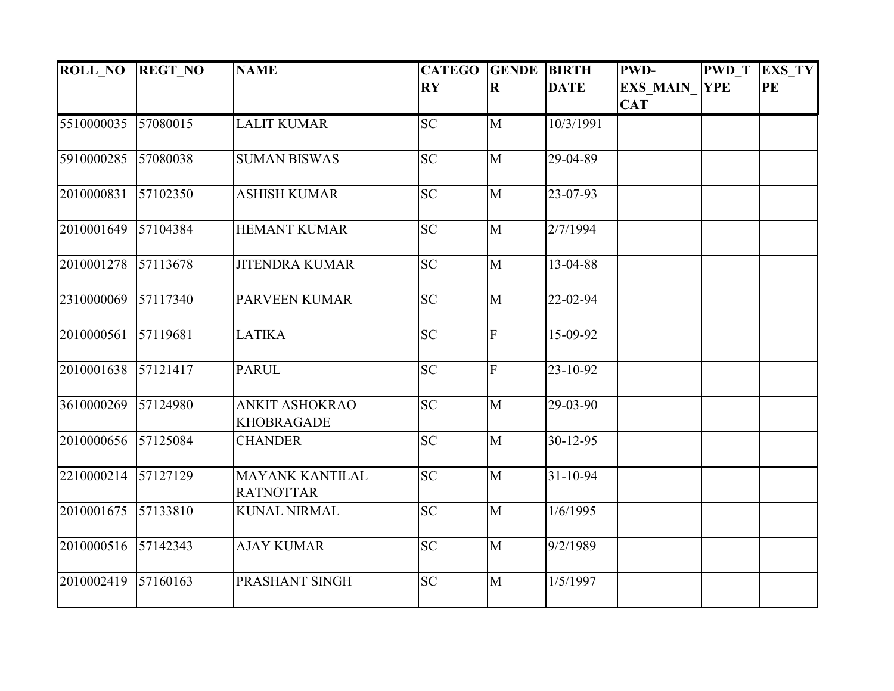| <b>ROLL_NO</b> | <b>REGT_NO</b> | <b>NAME</b>                                | <b>CATEGO</b>                     | <b>GENDE BIRTH</b> |                | <b>PWD-</b>     | <b>PWD</b> T | EXS_TY |
|----------------|----------------|--------------------------------------------|-----------------------------------|--------------------|----------------|-----------------|--------------|--------|
|                |                |                                            | $\overline{\mathbf{R}}\mathbf{Y}$ | $\mathbf R$        | <b>DATE</b>    | <b>EXS MAIN</b> | <b>YPE</b>   | PE     |
|                |                |                                            |                                   |                    |                | <b>CAT</b>      |              |        |
| 5510000035     | 57080015       | <b>LALIT KUMAR</b>                         | <b>SC</b>                         | M                  | 10/3/1991      |                 |              |        |
| 5910000285     | 57080038       | <b>SUMAN BISWAS</b>                        | <b>SC</b>                         | $\mathbf{M}$       | 29-04-89       |                 |              |        |
| 2010000831     | 57102350       | <b>ASHISH KUMAR</b>                        | <b>SC</b>                         | $\mathbf{M}$       | 23-07-93       |                 |              |        |
| 2010001649     | 57104384       | <b>HEMANT KUMAR</b>                        | <b>SC</b>                         | $\mathbf{M}$       | 2/7/1994       |                 |              |        |
| 2010001278     | 57113678       | <b>JITENDRA KUMAR</b>                      | <b>SC</b>                         | M                  | 13-04-88       |                 |              |        |
| 2310000069     | 57117340       | <b>PARVEEN KUMAR</b>                       | <b>SC</b>                         | M                  | 22-02-94       |                 |              |        |
| 2010000561     | 57119681       | <b>LATIKA</b>                              | <b>SC</b>                         | $\overline{F}$     | 15-09-92       |                 |              |        |
| 2010001638     | 57121417       | <b>PARUL</b>                               | <b>SC</b>                         | $\overline{F}$     | 23-10-92       |                 |              |        |
| 3610000269     | 57124980       | <b>ANKIT ASHOKRAO</b><br><b>KHOBRAGADE</b> | <b>SC</b>                         | $\overline{M}$     | 29-03-90       |                 |              |        |
| 2010000656     | 57125084       | <b>CHANDER</b>                             | <b>SC</b>                         | M                  | $30 - 12 - 95$ |                 |              |        |
| 2210000214     | 57127129       | <b>MAYANK KANTILAL</b><br><b>RATNOTTAR</b> | <b>SC</b>                         | $\overline{M}$     | $31 - 10 - 94$ |                 |              |        |
| 2010001675     | 57133810       | <b>KUNAL NIRMAL</b>                        | <b>SC</b>                         | $\mathbf{M}$       | 1/6/1995       |                 |              |        |
| 2010000516     | 57142343       | <b>AJAY KUMAR</b>                          | <b>SC</b>                         | $\mathbf{M}$       | 9/2/1989       |                 |              |        |
| 2010002419     | 57160163       | PRASHANT SINGH                             | <b>SC</b>                         | M                  | 1/5/1997       |                 |              |        |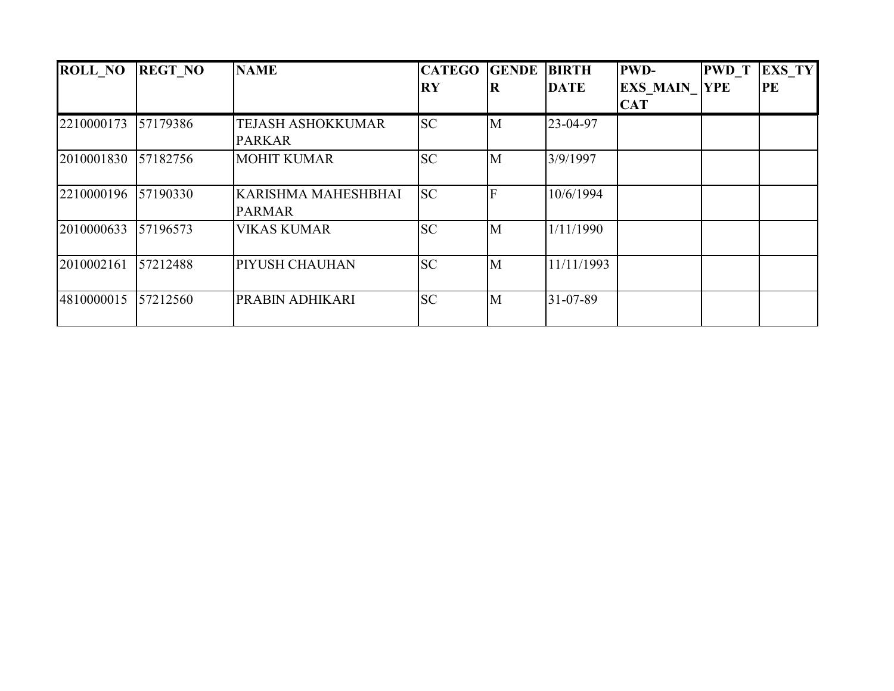| <b>ROLL NO</b> | <b>REGT NO</b> | <b>NAME</b>                | <b>CATEGO</b> | <b>GENDE</b> | <b>BIRTH</b> | <b>PWD-</b>     | <b>PWD</b> T | <b>EXS TY</b> |
|----------------|----------------|----------------------------|---------------|--------------|--------------|-----------------|--------------|---------------|
|                |                |                            | <b>RY</b>     | R            | <b>DATE</b>  | <b>EXS MAIN</b> | <b>YPE</b>   | PE            |
|                |                |                            |               |              |              | <b>CAT</b>      |              |               |
| 2210000173     | 57179386       | <b>TEJASH ASHOKKUMAR</b>   | <b>SC</b>     | M            | 23-04-97     |                 |              |               |
|                |                | <b>PARKAR</b>              |               |              |              |                 |              |               |
| 2010001830     | 57182756       | <b>MOHIT KUMAR</b>         | <b>SC</b>     | M            | 3/9/1997     |                 |              |               |
|                |                |                            |               |              |              |                 |              |               |
| 2210000196     | 57190330       | <b>KARISHMA MAHESHBHAI</b> | <b>SC</b>     |              | 10/6/1994    |                 |              |               |
|                |                | <b>PARMAR</b>              |               |              |              |                 |              |               |
| 2010000633     | 57196573       | <b>VIKAS KUMAR</b>         | <b>SC</b>     | M            | 1/11/1990    |                 |              |               |
|                |                |                            |               |              |              |                 |              |               |
| 2010002161     | 57212488       | PIYUSH CHAUHAN             | <b>SC</b>     | M            | 11/11/1993   |                 |              |               |
|                |                |                            |               |              |              |                 |              |               |
| 4810000015     | 57212560       | PRABIN ADHIKARI            | <b>SC</b>     | M            | 31-07-89     |                 |              |               |
|                |                |                            |               |              |              |                 |              |               |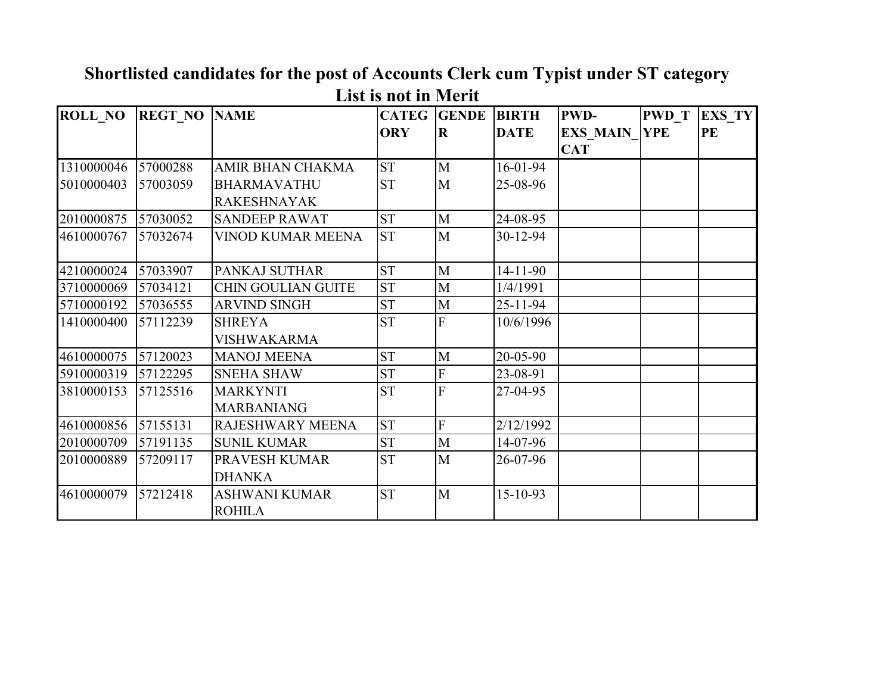| <b>ROLL_NO</b> | <b>REGT NO NAME</b> |                           |            | <b>CATEG GENDE</b> | <b>BIRTH</b>   | <b>PWD-</b>         | <b>PWD T</b> | <b>EXS TY</b> |
|----------------|---------------------|---------------------------|------------|--------------------|----------------|---------------------|--------------|---------------|
|                |                     |                           | <b>ORY</b> | $\bf R$            | <b>DATE</b>    | <b>EXS MAIN YPE</b> |              | <b>PE</b>     |
|                |                     |                           |            |                    |                | <b>CAT</b>          |              |               |
| 1310000046     | 57000288            | AMIR BHAN CHAKMA          | <b>ST</b>  | $\mathbf{M}$       | 16-01-94       |                     |              |               |
| 5010000403     | 57003059            | <b>BHARMAVATHU</b>        | <b>ST</b>  | M                  | 25-08-96       |                     |              |               |
|                |                     | <b>RAKESHNAYAK</b>        |            |                    |                |                     |              |               |
| 2010000875     | 57030052            | <b>SANDEEP RAWAT</b>      | <b>ST</b>  | $\mathbf{M}$       | 24-08-95       |                     |              |               |
| 4610000767     | 57032674            | VINOD KUMAR MEENA         | <b>ST</b>  | $\mathbf{M}$       | $30 - 12 - 94$ |                     |              |               |
|                |                     |                           |            |                    |                |                     |              |               |
| 4210000024     | 57033907            | PANKAJ SUTHAR             | <b>ST</b>  | $\mathbf{M}$       | 14-11-90       |                     |              |               |
| 3710000069     | 57034121            | <b>CHIN GOULIAN GUITE</b> | <b>ST</b>  | M                  | 1/4/1991       |                     |              |               |
| 5710000192     | 57036555            | <b>ARVIND SINGH</b>       | <b>ST</b>  | M                  | 25-11-94       |                     |              |               |
| 1410000400     | 57112239            | <b>SHREYA</b>             | <b>ST</b>  | F                  | 10/6/1996      |                     |              |               |
|                |                     | <b>VISHWAKARMA</b>        |            |                    |                |                     |              |               |
| 4610000075     | 57120023            | <b>MANOJ MEENA</b>        | <b>ST</b>  | M                  | 20-05-90       |                     |              |               |
| 5910000319     | 57122295            | <b>SNEHA SHAW</b>         | <b>ST</b>  | F                  | 23-08-91       |                     |              |               |
| 3810000153     | 57125516            | <b>MARKYNTI</b>           | <b>ST</b>  | $\overline{F}$     | 27-04-95       |                     |              |               |
|                |                     | <b>MARBANIANG</b>         |            |                    |                |                     |              |               |
| 4610000856     | 57155131            | RAJESHWARY MEENA          | <b>ST</b>  | F                  | 2/12/1992      |                     |              |               |
| 2010000709     | 57191135            | <b>SUNIL KUMAR</b>        | <b>ST</b>  | M                  | 14-07-96       |                     |              |               |
| 2010000889     | 57209117            | PRAVESH KUMAR             | <b>ST</b>  | $\mathbf{M}$       | 26-07-96       |                     |              |               |
|                |                     | <b>DHANKA</b>             |            |                    |                |                     |              |               |
| 4610000079     | 57212418            | <b>ASHWANI KUMAR</b>      | <b>ST</b>  | M                  | 15-10-93       |                     |              |               |
|                |                     | <b>ROHILA</b>             |            |                    |                |                     |              |               |

**Shortlisted candidates for the post of Accounts Clerk cum Typist under ST category List is not in Merit**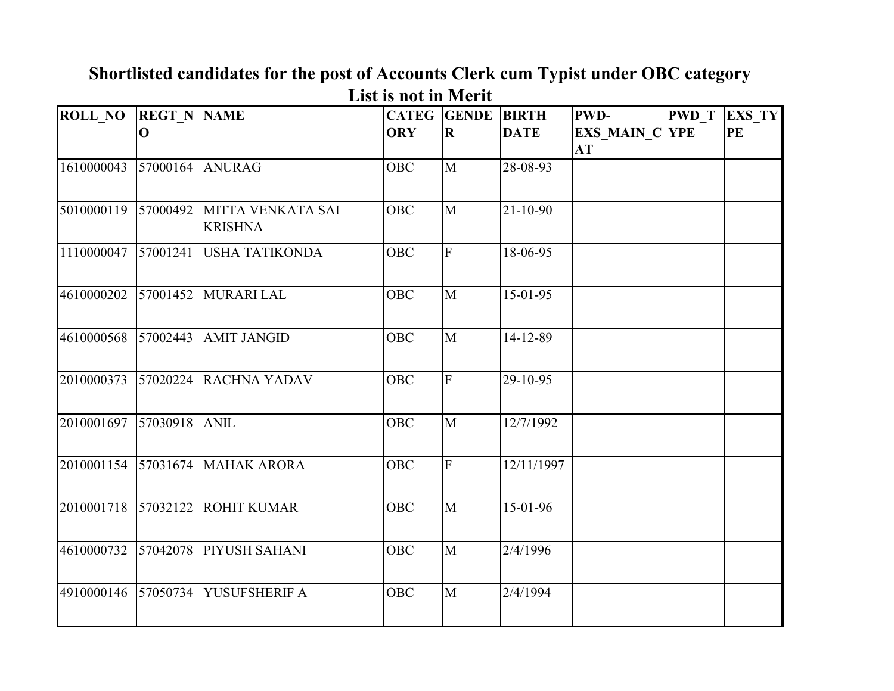| <b>ROLL_NO REGT_N NAME</b> |          |                                     |            | <b>CATEG GENDE</b> | <b>BIRTH</b>   | PWD-                        | <b>PWD</b> T | EXS_TY |
|----------------------------|----------|-------------------------------------|------------|--------------------|----------------|-----------------------------|--------------|--------|
|                            | $\bf{0}$ |                                     | <b>ORY</b> | $\mathbf R$        | <b>DATE</b>    | <b>EXS_MAIN_C YPE</b><br>AT |              | PE     |
| 1610000043                 | 57000164 | <b>ANURAG</b>                       | OBC        | $\mathbf{M}$       | 28-08-93       |                             |              |        |
| 5010000119                 | 57000492 | MITTA VENKATA SAI<br><b>KRISHNA</b> | <b>OBC</b> | M                  | $21 - 10 - 90$ |                             |              |        |
| 1110000047                 | 57001241 | <b>USHA TATIKONDA</b>               | <b>OBC</b> | F                  | 18-06-95       |                             |              |        |
| 4610000202                 | 57001452 | MURARI LAL                          | <b>OBC</b> | M                  | $15-01-95$     |                             |              |        |
| 4610000568                 | 57002443 | <b>AMIT JANGID</b>                  | <b>OBC</b> | $\mathbf{M}$       | 14-12-89       |                             |              |        |
| 2010000373                 | 57020224 | <b>RACHNA YADAV</b>                 | <b>OBC</b> | F                  | 29-10-95       |                             |              |        |
| 2010001697                 | 57030918 | <b>ANIL</b>                         | <b>OBC</b> | M                  | 12/7/1992      |                             |              |        |
| 2010001154                 | 57031674 | <b>MAHAK ARORA</b>                  | <b>OBC</b> | F                  | 12/11/1997     |                             |              |        |
| 2010001718                 | 57032122 | <b>ROHIT KUMAR</b>                  | <b>OBC</b> | M                  | 15-01-96       |                             |              |        |
| 4610000732                 | 57042078 | PIYUSH SAHANI                       | <b>OBC</b> | $\overline{M}$     | 2/4/1996       |                             |              |        |
| 4910000146                 | 57050734 | YUSUFSHERIF A                       | <b>OBC</b> | M                  | 2/4/1994       |                             |              |        |

## **Shortlisted candidates for the post of Accounts Clerk cum Typist under OBC category List is not in Merit**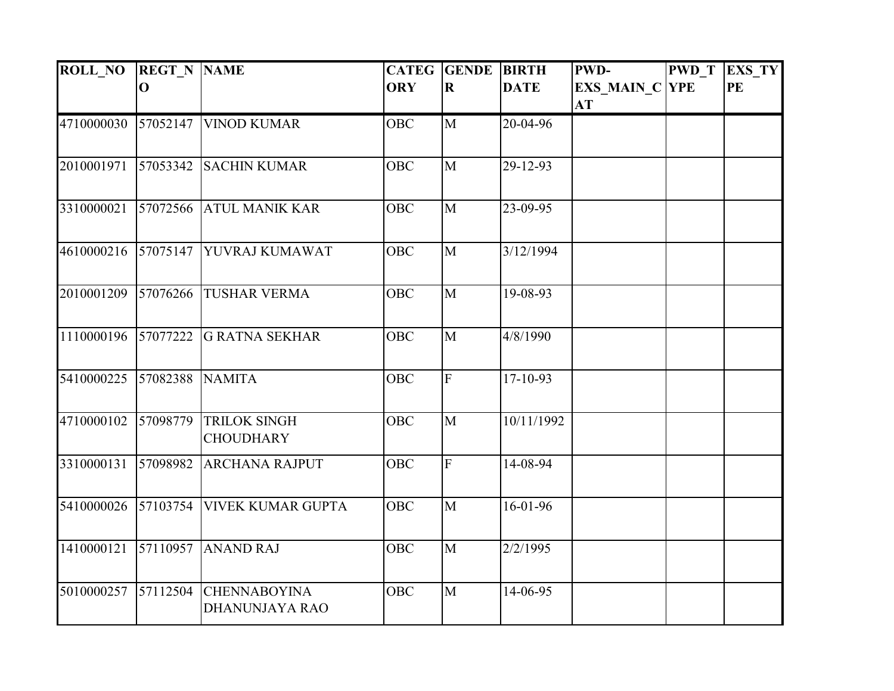| <b>ROLL NO</b> | <b>REGT N NAME</b> |                                              | <b>CATEG</b> | <b>GENDE</b>   | <b>BIRTH</b> | <b>PWD-</b>                 | <b>PWD T</b> | EXS_TY |
|----------------|--------------------|----------------------------------------------|--------------|----------------|--------------|-----------------------------|--------------|--------|
|                | $\mathbf 0$        |                                              | <b>ORY</b>   | $\bf R$        | <b>DATE</b>  | <b>EXS_MAIN_C YPE</b><br>AT |              | PE     |
| 4710000030     | 57052147           | <b>VINOD KUMAR</b>                           | <b>OBC</b>   | M              | 20-04-96     |                             |              |        |
| 2010001971     | 57053342           | <b>SACHIN KUMAR</b>                          | <b>OBC</b>   | $\mathbf{M}$   | 29-12-93     |                             |              |        |
| 3310000021     |                    | 57072566 ATUL MANIK KAR                      | <b>OBC</b>   | M              | 23-09-95     |                             |              |        |
| 4610000216     | 57075147           | YUVRAJ KUMAWAT                               | <b>OBC</b>   | $\mathbf{M}$   | 3/12/1994    |                             |              |        |
| 2010001209     | 57076266           | <b>TUSHAR VERMA</b>                          | <b>OBC</b>   | $\mathbf{M}$   | 19-08-93     |                             |              |        |
| 1110000196     | 57077222           | <b>G RATNA SEKHAR</b>                        | <b>OBC</b>   | M              | 4/8/1990     |                             |              |        |
| 5410000225     | 57082388           | <b>NAMITA</b>                                | <b>OBC</b>   | $\overline{F}$ | $17-10-93$   |                             |              |        |
| 4710000102     | 57098779           | <b>TRILOK SINGH</b><br><b>CHOUDHARY</b>      | <b>OBC</b>   | M              | 10/11/1992   |                             |              |        |
| 3310000131     | 57098982           | <b>ARCHANA RAJPUT</b>                        | <b>OBC</b>   | $\overline{F}$ | 14-08-94     |                             |              |        |
| 5410000026     | 57103754           | <b>VIVEK KUMAR GUPTA</b>                     | <b>OBC</b>   | M              | 16-01-96     |                             |              |        |
| 1410000121     | 57110957           | <b>ANAND RAJ</b>                             | OBC          | M              | 2/2/1995     |                             |              |        |
| 5010000257     | 57112504           | <b>CHENNABOYINA</b><br><b>DHANUNJAYA RAO</b> | OBC          | $\mathbf{M}$   | 14-06-95     |                             |              |        |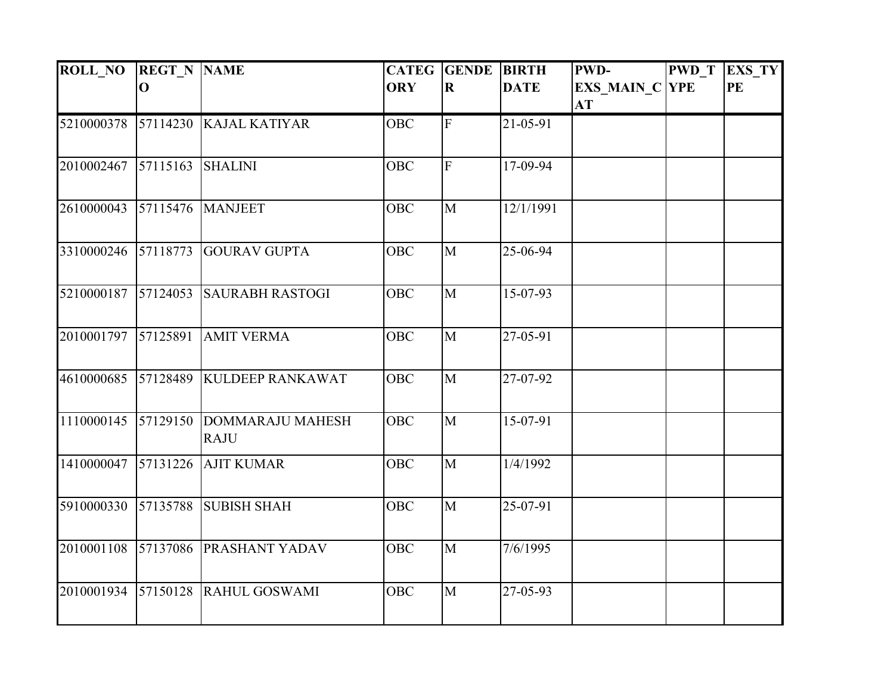| <b>ROLL NO</b>      | <b>REGT N NAME</b> |                                        | <b>CATEG</b> | <b>GENDE</b>   | <b>BIRTH</b> | <b>PWD-</b>                        | <b>PWD T</b> | <b>EXS_TY</b> |
|---------------------|--------------------|----------------------------------------|--------------|----------------|--------------|------------------------------------|--------------|---------------|
|                     | $\mathbf 0$        |                                        | <b>ORY</b>   | $\bf R$        | <b>DATE</b>  | <b>EXS_MAIN_C YPE</b><br><b>AT</b> |              | PE            |
| 5210000378          |                    | 57114230 KAJAL KATIYAR                 | OBC          | ${\bf F}$      | 21-05-91     |                                    |              |               |
| 2010002467          | 57115163           | <b>SHALINI</b>                         | OBC          | $\overline{F}$ | 17-09-94     |                                    |              |               |
| 2610000043          |                    | 57115476 MANJEET                       | <b>OBC</b>   | M              | 12/1/1991    |                                    |              |               |
| 3310000246          | 57118773           | <b>GOURAV GUPTA</b>                    | <b>OBC</b>   | M              | 25-06-94     |                                    |              |               |
| 5210000187          | 57124053           | <b>SAURABH RASTOGI</b>                 | <b>OBC</b>   | $\mathbf{M}$   | 15-07-93     |                                    |              |               |
| 2010001797 57125891 |                    | <b>AMIT VERMA</b>                      | <b>OBC</b>   | M              | 27-05-91     |                                    |              |               |
| 4610000685          | 57128489           | <b>KULDEEP RANKAWAT</b>                | <b>OBC</b>   | M              | 27-07-92     |                                    |              |               |
| 1110000145          | 57129150           | <b>DOMMARAJU MAHESH</b><br><b>RAJU</b> | OBC          | M              | 15-07-91     |                                    |              |               |
| 1410000047          | 57131226           | <b>AJIT KUMAR</b>                      | <b>OBC</b>   | M              | 1/4/1992     |                                    |              |               |
| 5910000330          | 57135788           | <b>SUBISH SHAH</b>                     | OBC          | $\mathbf{M}$   | 25-07-91     |                                    |              |               |
| 2010001108          | 57137086           | <b>PRASHANT YADAV</b>                  | <b>OBC</b>   | M              | 7/6/1995     |                                    |              |               |
| 2010001934          |                    | 57150128 RAHUL GOSWAMI                 | OBC          | $\mathbf{M}$   | 27-05-93     |                                    |              |               |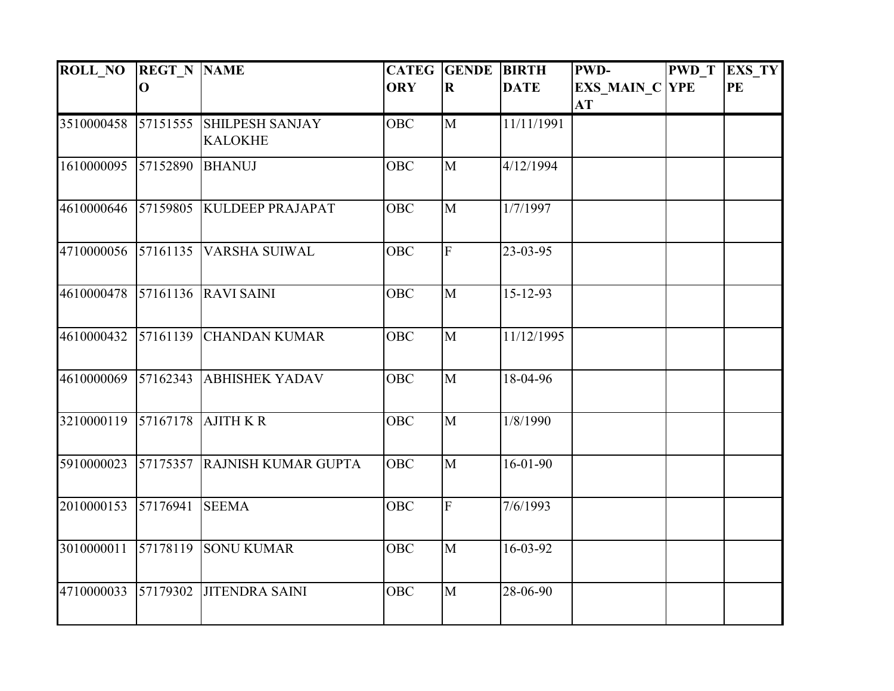| <b>ROLL NO</b> | <b>REGT N NAME</b> |                                          | <b>CATEG</b> | <b>GENDE</b>   | <b>BIRTH</b>   | PWD-                               | <b>PWD</b> T | <b>EXS_TY</b> |
|----------------|--------------------|------------------------------------------|--------------|----------------|----------------|------------------------------------|--------------|---------------|
|                | $\mathbf{O}$       |                                          | <b>ORY</b>   | $\bf R$        | <b>DATE</b>    | <b>EXS MAIN C YPE</b><br><b>AT</b> |              | <b>PE</b>     |
| 3510000458     | 57151555           | <b>SHILPESH SANJAY</b><br><b>KALOKHE</b> | <b>OBC</b>   | M              | 11/11/1991     |                                    |              |               |
| 1610000095     | 57152890           | <b>BHANUJ</b>                            | OBC          | $\mathbf{M}$   | 4/12/1994      |                                    |              |               |
| 4610000646     | 57159805           | <b>KULDEEP PRAJAPAT</b>                  | <b>OBC</b>   | M              | 1/7/1997       |                                    |              |               |
| 4710000056     | 57161135           | <b>VARSHA SUIWAL</b>                     | OBC          | $\overline{F}$ | 23-03-95       |                                    |              |               |
| 4610000478     | 57161136           | <b>RAVI SAINI</b>                        | <b>OBC</b>   | M              | $15 - 12 - 93$ |                                    |              |               |
| 4610000432     | 57161139           | <b>CHANDAN KUMAR</b>                     | <b>OBC</b>   | M              | 11/12/1995     |                                    |              |               |
| 4610000069     | 57162343           | <b>ABHISHEK YADAV</b>                    | <b>OBC</b>   | M              | 18-04-96       |                                    |              |               |
| 3210000119     | 57167178           | <b>AJITH K R</b>                         | <b>OBC</b>   | M              | 1/8/1990       |                                    |              |               |
| 5910000023     | 57175357           | <b>RAJNISH KUMAR GUPTA</b>               | <b>OBC</b>   | $\mathbf{M}$   | $16-01-90$     |                                    |              |               |
| 2010000153     | 57176941           | <b>SEEMA</b>                             | OBC          | $\overline{F}$ | 7/6/1993       |                                    |              |               |
| 3010000011     | 57178119           | <b>SONU KUMAR</b>                        | OBC          | M              | 16-03-92       |                                    |              |               |
| 4710000033     | 57179302           | <b>JITENDRA SAINI</b>                    | OBC          | $\mathbf{M}$   | 28-06-90       |                                    |              |               |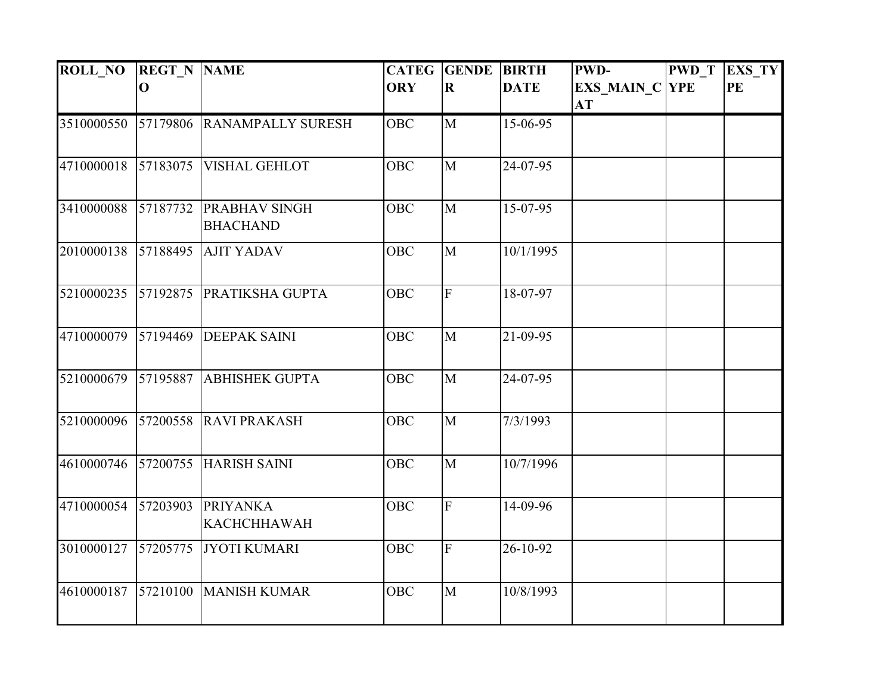| <b>ROLL NO</b> | <b>REGT N NAME</b> |                                         | <b>CATEG</b> | <b>GENDE</b>   | <b>BIRTH</b> | <b>PWD-</b>                 | <b>PWD T</b> | EXS_TY |
|----------------|--------------------|-----------------------------------------|--------------|----------------|--------------|-----------------------------|--------------|--------|
|                | $\mathbf 0$        |                                         | <b>ORY</b>   | $\bf R$        | <b>DATE</b>  | <b>EXS_MAIN_C YPE</b><br>AT |              | PE     |
| 3510000550     | 57179806           | <b>RANAMPALLY SURESH</b>                | OBC          | M              | 15-06-95     |                             |              |        |
| 4710000018     | 57183075           | <b>VISHAL GEHLOT</b>                    | <b>OBC</b>   | $\mathbf{M}$   | 24-07-95     |                             |              |        |
| 3410000088     | 57187732           | <b>PRABHAV SINGH</b><br><b>BHACHAND</b> | <b>OBC</b>   | M              | 15-07-95     |                             |              |        |
| 2010000138     | 57188495           | <b>AJIT YADAV</b>                       | <b>OBC</b>   | M              | 10/1/1995    |                             |              |        |
| 5210000235     | 57192875           | PRATIKSHA GUPTA                         | <b>OBC</b>   | $\overline{F}$ | 18-07-97     |                             |              |        |
| 4710000079     | 57194469           | <b>DEEPAK SAINI</b>                     | <b>OBC</b>   | M              | 21-09-95     |                             |              |        |
| 5210000679     | 57195887           | <b>ABHISHEK GUPTA</b>                   | <b>OBC</b>   | $\overline{M}$ | 24-07-95     |                             |              |        |
| 5210000096     | 57200558           | <b>RAVI PRAKASH</b>                     | <b>OBC</b>   | M              | 7/3/1993     |                             |              |        |
| 4610000746     | 57200755           | <b>HARISH SAINI</b>                     | <b>OBC</b>   | M              | 10/7/1996    |                             |              |        |
| 4710000054     | 57203903           | <b>PRIYANKA</b><br><b>KACHCHHAWAH</b>   | <b>OBC</b>   | $\overline{F}$ | 14-09-96     |                             |              |        |
| 3010000127     | 57205775           | JYOTI KUMARI                            | OBC          | $\overline{F}$ | 26-10-92     |                             |              |        |
| 4610000187     | 57210100           | <b>MANISH KUMAR</b>                     | <b>OBC</b>   | M              | 10/8/1993    |                             |              |        |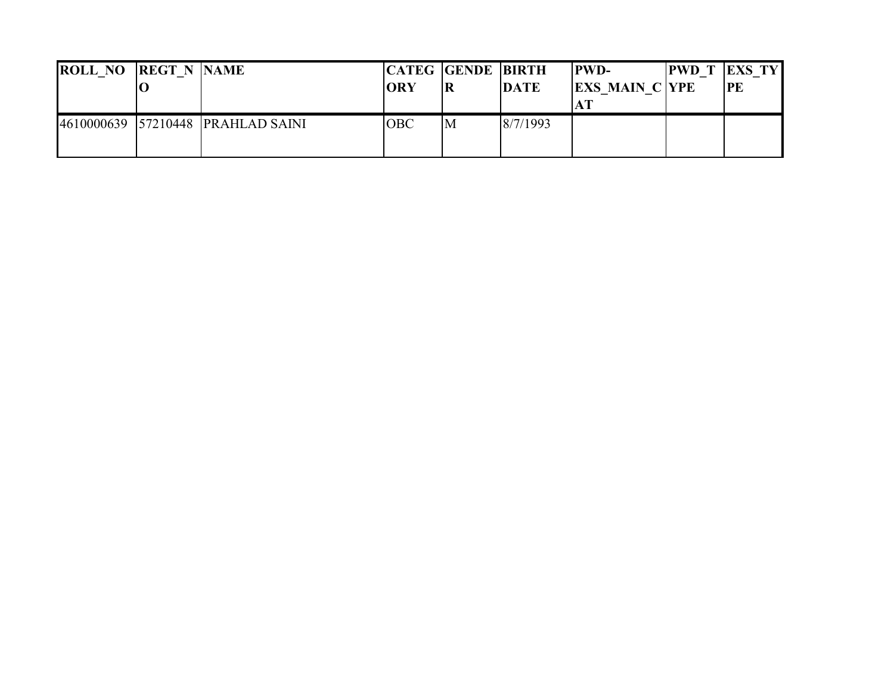| <b>ROLL NO REGT N NAME</b> |                                   | <b>ORY</b> | <b>CATEG GENDE BIRTH</b><br> R | <b>DATE</b> | <b>IPWD-</b><br><b>EXS MAIN C YPE</b> | <b>PWD T EXS TY</b><br><b>PE</b> |
|----------------------------|-----------------------------------|------------|--------------------------------|-------------|---------------------------------------|----------------------------------|
|                            | 4610000639 57210448 PRAHLAD SAINI | <b>OBC</b> | M                              | 8/7/1993    |                                       |                                  |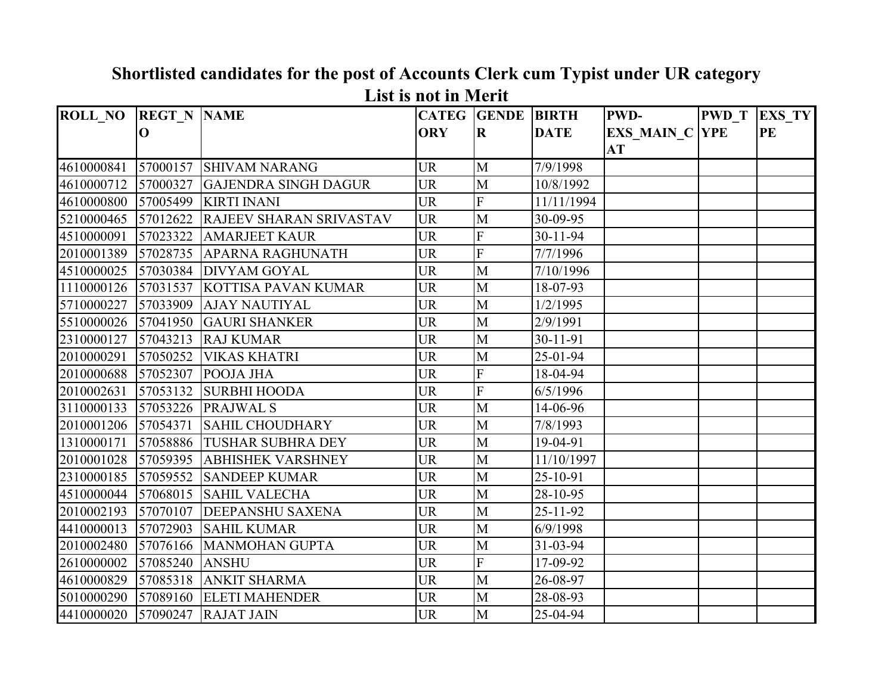| <b>ROLL_NO</b> | <b>REGT N NAME</b> |                                | <b>CATEG GENDE</b> |                         | <b>BIRTH</b>   | <b>PWD-</b>           | <b>PWD T</b> | <b>EXS TY</b> |
|----------------|--------------------|--------------------------------|--------------------|-------------------------|----------------|-----------------------|--------------|---------------|
|                | $\mathbf 0$        |                                | <b>ORY</b>         | $\mathbf R$             | <b>DATE</b>    | <b>EXS MAIN C YPE</b> |              | <b>PE</b>     |
|                |                    |                                |                    |                         |                | AT                    |              |               |
| 4610000841     |                    | 57000157 SHIVAM NARANG         | <b>UR</b>          | M                       | 7/9/1998       |                       |              |               |
| 4610000712     | 57000327           | <b>GAJENDRA SINGH DAGUR</b>    | <b>UR</b>          | M                       | 10/8/1992      |                       |              |               |
| 4610000800     | 57005499           | <b>KIRTI INANI</b>             | <b>UR</b>          | F                       | 11/11/1994     |                       |              |               |
| 5210000465     | 57012622           | <b>RAJEEV SHARAN SRIVASTAV</b> | <b>UR</b>          | M                       | 30-09-95       |                       |              |               |
| 4510000091     | 57023322           | <b>AMARJEET KAUR</b>           | <b>UR</b>          | F                       | $30 - 11 - 94$ |                       |              |               |
| 2010001389     | 57028735           | <b>APARNA RAGHUNATH</b>        | <b>UR</b>          | $\overline{\mathrm{F}}$ | 7/7/1996       |                       |              |               |
| 4510000025     | 57030384           | <b>DIVYAM GOYAL</b>            | <b>UR</b>          | M                       | 7/10/1996      |                       |              |               |
| 1110000126     |                    | 57031537 KOTTISA PAVAN KUMAR   | <b>UR</b>          | M                       | 18-07-93       |                       |              |               |
| 5710000227     | 57033909           | <b>AJAY NAUTIYAL</b>           | <b>UR</b>          | M                       | 1/2/1995       |                       |              |               |
| 5510000026     | 57041950           | <b>GAURI SHANKER</b>           | <b>UR</b>          | $\mathbf{M}$            | 2/9/1991       |                       |              |               |
| 2310000127     | 57043213           | <b>RAJ KUMAR</b>               | <b>UR</b>          | M                       | 30-11-91       |                       |              |               |
| 2010000291     | 57050252           | <b>VIKAS KHATRI</b>            | <b>UR</b>          | M                       | 25-01-94       |                       |              |               |
| 2010000688     |                    | 57052307 POOJA JHA             | <b>UR</b>          | F                       | 18-04-94       |                       |              |               |
| 2010002631     | 57053132           | <b>SURBHI HOODA</b>            | <b>UR</b>          | F                       | 6/5/1996       |                       |              |               |
| 3110000133     |                    | 57053226 PRAJWAL S             | <b>UR</b>          | M                       | 14-06-96       |                       |              |               |
| 2010001206     | 57054371           | <b>SAHIL CHOUDHARY</b>         | <b>UR</b>          | $\mathbf{M}$            | 7/8/1993       |                       |              |               |
| 1310000171     |                    | 57058886 TUSHAR SUBHRA DEY     | <b>UR</b>          | M                       | 19-04-91       |                       |              |               |
| 2010001028     |                    | 57059395 ABHISHEK VARSHNEY     | <b>UR</b>          | M                       | 11/10/1997     |                       |              |               |
| 2310000185     | 57059552           | <b>SANDEEP KUMAR</b>           | <b>UR</b>          | $\overline{M}$          | 25-10-91       |                       |              |               |
| 4510000044     | 57068015           | <b>SAHIL VALECHA</b>           | <b>UR</b>          | M                       | 28-10-95       |                       |              |               |
| 2010002193     | 57070107           | <b>DEEPANSHU SAXENA</b>        | <b>UR</b>          | $\overline{M}$          | $25 - 11 - 92$ |                       |              |               |
| 4410000013     | 57072903           | <b>SAHIL KUMAR</b>             | <b>UR</b>          | M                       | 6/9/1998       |                       |              |               |
| 2010002480     | 57076166           | <b>MANMOHAN GUPTA</b>          | <b>UR</b>          | M                       | 31-03-94       |                       |              |               |
| 2610000002     | 57085240           | <b>ANSHU</b>                   | <b>UR</b>          | F                       | 17-09-92       |                       |              |               |
| 4610000829     | 57085318           | <b>ANKIT SHARMA</b>            | <b>UR</b>          | M                       | 26-08-97       |                       |              |               |
| 5010000290     | 57089160           | <b>ELETI MAHENDER</b>          | <b>UR</b>          | M                       | 28-08-93       |                       |              |               |
| 4410000020     |                    | 57090247 RAJAT JAIN            | <b>UR</b>          | M                       | 25-04-94       |                       |              |               |

**Shortlisted candidates for the post of Accounts Clerk cum Typist under UR category List is not in Merit**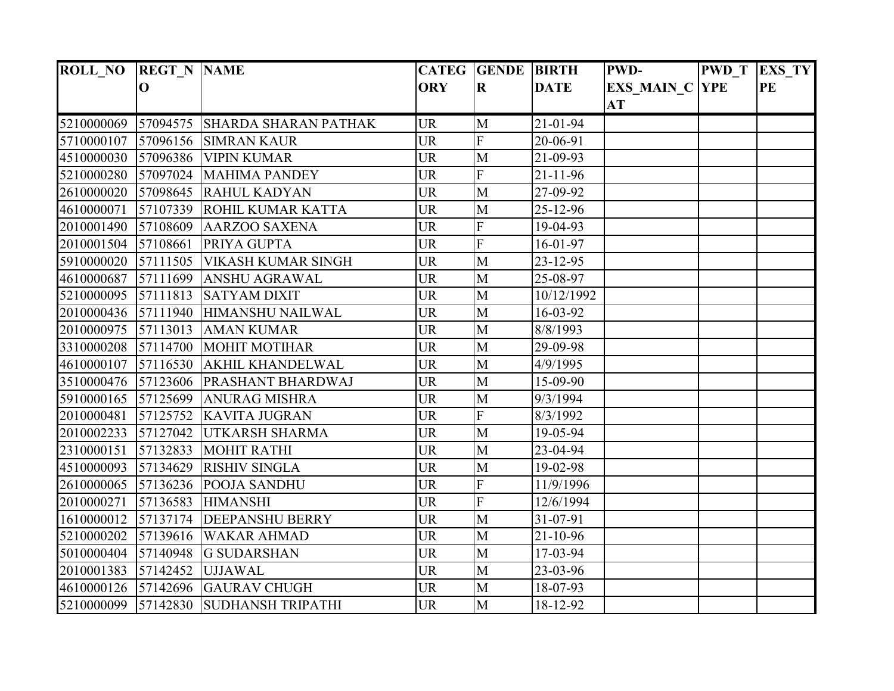| <b>ROLL_NO</b> | <b>REGT N NAME</b> |                                       |            | <b>CATEG GENDE BIRTH</b> |                | <b>PWD-</b>           | <b>PWD T</b> | <b>EXS_TY</b> |
|----------------|--------------------|---------------------------------------|------------|--------------------------|----------------|-----------------------|--------------|---------------|
|                | $\bf o$            |                                       | <b>ORY</b> | $\bf R$                  | <b>DATE</b>    | <b>EXS MAIN C YPE</b> |              | PE            |
|                |                    |                                       |            |                          |                | <b>AT</b>             |              |               |
| 5210000069     |                    | 57094575 SHARDA SHARAN PATHAK         | <b>UR</b>  | M                        | 21-01-94       |                       |              |               |
| 5710000107     |                    | 57096156 SIMRAN KAUR                  | <b>UR</b>  | $\overline{\mathrm{F}}$  | 20-06-91       |                       |              |               |
| 4510000030     |                    | 57096386 VIPIN KUMAR                  | <b>UR</b>  | M                        | 21-09-93       |                       |              |               |
| 5210000280     |                    | 57097024 MAHIMA PANDEY                | <b>UR</b>  | F                        | $21 - 11 - 96$ |                       |              |               |
| 2610000020     |                    | 57098645 RAHUL KADYAN                 | <b>UR</b>  | M                        | 27-09-92       |                       |              |               |
| 4610000071     |                    | 57107339 ROHIL KUMAR KATTA            | <b>UR</b>  | M                        | 25-12-96       |                       |              |               |
| 2010001490     | 57108609           | <b>AARZOO SAXENA</b>                  | <b>UR</b>  | F                        | 19-04-93       |                       |              |               |
| 2010001504     | 57108661           | PRIYA GUPTA                           | <b>UR</b>  | F                        | 16-01-97       |                       |              |               |
| 5910000020     |                    | 57111505 VIKASH KUMAR SINGH           | <b>UR</b>  | M                        | 23-12-95       |                       |              |               |
| 4610000687     |                    | 57111699 ANSHU AGRAWAL                | <b>UR</b>  | M                        | 25-08-97       |                       |              |               |
| 5210000095     | 57111813           | <b>SATYAM DIXIT</b>                   | <b>UR</b>  | M                        | 10/12/1992     |                       |              |               |
| 2010000436     | 57111940           | HIMANSHU NAILWAL                      | <b>UR</b>  | M                        | 16-03-92       |                       |              |               |
| 2010000975     |                    | 57113013 AMAN KUMAR                   | <b>UR</b>  | M                        | 8/8/1993       |                       |              |               |
| 3310000208     |                    | 57114700 MOHIT MOTIHAR                | <b>UR</b>  | M                        | 29-09-98       |                       |              |               |
| 4610000107     |                    | 57116530 AKHIL KHANDELWAL             | <b>UR</b>  | M                        | 4/9/1995       |                       |              |               |
| 3510000476     |                    | 57123606 PRASHANT BHARDWAJ            | <b>UR</b>  | M                        | 15-09-90       |                       |              |               |
| 5910000165     | 57125699           | <b>ANURAG MISHRA</b>                  | <b>UR</b>  | M                        | 9/3/1994       |                       |              |               |
| 2010000481     |                    | 57125752 KAVITA JUGRAN                | <b>UR</b>  | F                        | 8/3/1992       |                       |              |               |
| 2010002233     | 57127042           | <b>UTKARSH SHARMA</b>                 | <b>UR</b>  | M                        | 19-05-94       |                       |              |               |
| 2310000151     |                    | 57132833 MOHIT RATHI                  | <b>UR</b>  | $\mathbf{M}$             | 23-04-94       |                       |              |               |
| 4510000093     |                    | 57134629 RISHIV SINGLA                | <b>UR</b>  | M                        | 19-02-98       |                       |              |               |
| 2610000065     |                    | $57136236$ POOJA SANDHU               | <b>UR</b>  | F                        | 11/9/1996      |                       |              |               |
| 2010000271     |                    | 57136583 HIMANSHI                     | <b>UR</b>  | F                        | 12/6/1994      |                       |              |               |
| 1610000012     |                    | 57137174 DEEPANSHU BERRY              | <b>UR</b>  | M                        | 31-07-91       |                       |              |               |
| 5210000202     | 57139616           | <b>WAKAR AHMAD</b>                    | <b>UR</b>  | M                        | $21 - 10 - 96$ |                       |              |               |
| 5010000404     |                    | $57140948$ G SUDARSHAN                | <b>UR</b>  | M                        | 17-03-94       |                       |              |               |
| 2010001383     |                    | 57142452 UJJAWAL                      | <b>UR</b>  | M                        | 23-03-96       |                       |              |               |
| 4610000126     |                    | 57142696 GAURAV CHUGH                 | <b>UR</b>  | M                        | 18-07-93       |                       |              |               |
|                |                    | 5210000099 57142830 SUDHANSH TRIPATHI | <b>UR</b>  | M                        | 18-12-92       |                       |              |               |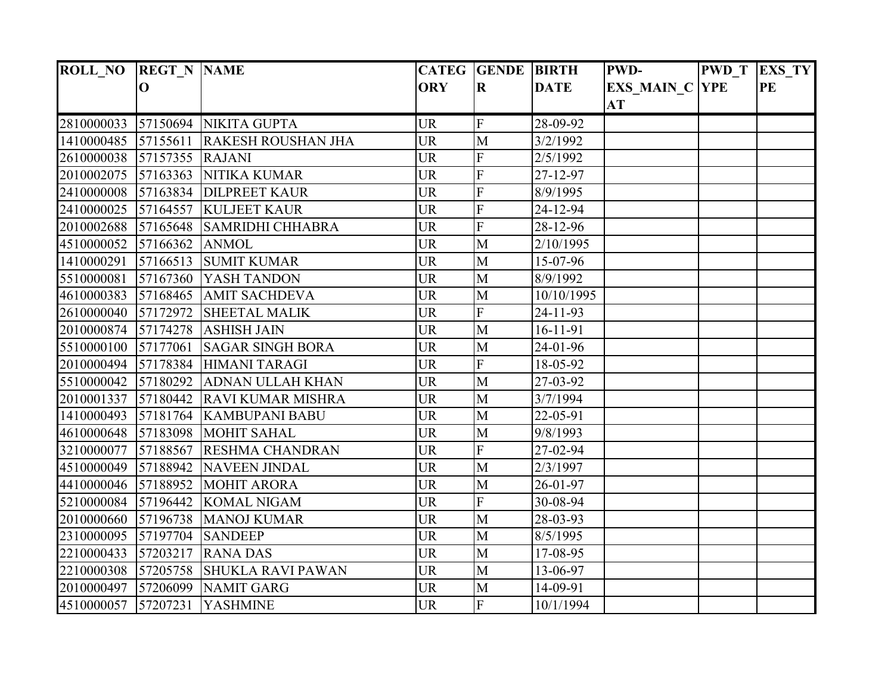| ROLL_NO REGT_N NAME |                 |                            |            | <b>CATEG GENDE BIRTH</b>  |                | <b>PWD-</b>           | <b>PWD</b> T | EXS_TY |
|---------------------|-----------------|----------------------------|------------|---------------------------|----------------|-----------------------|--------------|--------|
|                     | $\bf{O}$        |                            | <b>ORY</b> | $\bf R$                   | <b>DATE</b>    | <b>EXS MAIN C YPE</b> |              | PE     |
|                     |                 |                            |            |                           |                | <b>AT</b>             |              |        |
| 2810000033          |                 | 57150694 NIKITA GUPTA      | <b>UR</b>  | $\boldsymbol{\mathrm{F}}$ | 28-09-92       |                       |              |        |
| 1410000485          | 57155611        | <b>RAKESH ROUSHAN JHA</b>  | <b>UR</b>  | M                         | 3/2/1992       |                       |              |        |
| 2610000038          | 57157355 RAJANI |                            | <b>UR</b>  | F                         | 2/5/1992       |                       |              |        |
| 2010002075          | 57163363        | <b>NITIKA KUMAR</b>        | <b>UR</b>  | F                         | 27-12-97       |                       |              |        |
| 2410000008          |                 | 57163834 DILPREET KAUR     | <b>UR</b>  | F                         | 8/9/1995       |                       |              |        |
| 2410000025          |                 | 57164557 KULJEET KAUR      | <b>UR</b>  | $\overline{F}$            | 24-12-94       |                       |              |        |
| 2010002688          | 57165648        | <b>SAMRIDHI CHHABRA</b>    | <b>UR</b>  | $\overline{\mathrm{F}}$   | 28-12-96       |                       |              |        |
| 4510000052          | 57166362        | <b>ANMOL</b>               | <b>UR</b>  | M                         | 2/10/1995      |                       |              |        |
| 1410000291          |                 | 57166513 SUMIT KUMAR       | <b>UR</b>  | M                         | 15-07-96       |                       |              |        |
| 5510000081          | 57167360        | <b>YASH TANDON</b>         | <b>UR</b>  | M                         | 8/9/1992       |                       |              |        |
| 4610000383          | 57168465        | <b>AMIT SACHDEVA</b>       | <b>UR</b>  | M                         | 10/10/1995     |                       |              |        |
| 2610000040          | 57172972        | <b>SHEETAL MALIK</b>       | <b>UR</b>  | F                         | 24-11-93       |                       |              |        |
| 2010000874          | 57174278        | <b>ASHISH JAIN</b>         | <b>UR</b>  | M                         | $16 - 11 - 91$ |                       |              |        |
| 5510000100          | 57177061        | <b>SAGAR SINGH BORA</b>    | <b>UR</b>  | M                         | 24-01-96       |                       |              |        |
| 2010000494          |                 | 57178384 HIMANI TARAGI     | <b>UR</b>  | $\overline{\mathrm{F}}$   | 18-05-92       |                       |              |        |
| 5510000042          |                 | 57180292 ADNAN ULLAH KHAN  | <b>UR</b>  | M                         | 27-03-92       |                       |              |        |
| 2010001337          |                 | 57180442 RAVI KUMAR MISHRA | <b>UR</b>  | M                         | 3/7/1994       |                       |              |        |
| 1410000493          |                 | 57181764 KAMBUPANI BABU    | <b>UR</b>  | M                         | 22-05-91       |                       |              |        |
| 4610000648          |                 | 57183098 MOHIT SAHAL       | <b>UR</b>  | M                         | 9/8/1993       |                       |              |        |
| 3210000077          |                 | 57188567 RESHMA CHANDRAN   | <b>UR</b>  | $\overline{F}$            | 27-02-94       |                       |              |        |
| 4510000049          |                 | 57188942 NAVEEN JINDAL     | <b>UR</b>  | M                         | 2/3/1997       |                       |              |        |
| 4410000046          |                 | $57188952$ MOHIT ARORA     | <b>UR</b>  | M                         | 26-01-97       |                       |              |        |
| 5210000084          |                 | 57196442 KOMAL NIGAM       | <b>UR</b>  | $\overline{F}$            | 30-08-94       |                       |              |        |
| 2010000660          | 57196738        | <b>MANOJ KUMAR</b>         | <b>UR</b>  | M                         | 28-03-93       |                       |              |        |
| 2310000095          | 57197704        | <b>SANDEEP</b>             | <b>UR</b>  | M                         | 8/5/1995       |                       |              |        |
| 2210000433          | 57203217        | <b>RANA DAS</b>            | <b>UR</b>  | M                         | 17-08-95       |                       |              |        |
| 2210000308          | 57205758        | <b>SHUKLA RAVI PAWAN</b>   | <b>UR</b>  | M                         | 13-06-97       |                       |              |        |
| 2010000497          |                 | 57206099 NAMIT GARG        | <b>UR</b>  | M                         | 14-09-91       |                       |              |        |
| 4510000057 57207231 |                 | <b>YASHMINE</b>            | <b>UR</b>  | $\overline{F}$            | 10/1/1994      |                       |              |        |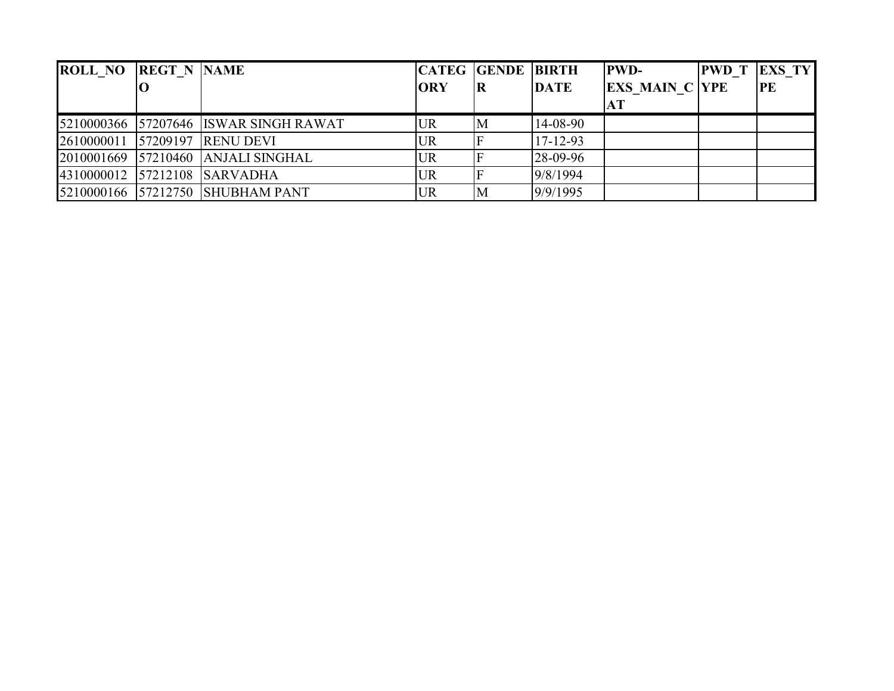| <b>ROLL NO</b> | <b>REGT N NAME</b> |                                    |            | <b>CATEG GENDE BIRTH</b> |                | <b>PWD-</b>           | <b>PWD</b> T | <b>EXS TY</b> |
|----------------|--------------------|------------------------------------|------------|--------------------------|----------------|-----------------------|--------------|---------------|
|                |                    |                                    | <b>ORY</b> | IR                       | <b>DATE</b>    | <b>EXS MAIN C YPE</b> |              | PE            |
|                |                    |                                    |            |                          |                |                       |              |               |
| 5210000366     |                    | 57207646 ISWAR SINGH RAWAT         | <b>UR</b>  | M                        | 14-08-90       |                       |              |               |
| 2610000011     |                    | 57209197 RENU DEVI                 | <b>UR</b>  |                          | $17 - 12 - 93$ |                       |              |               |
|                |                    | 2010001669 57210460 ANJALI SINGHAL | <b>UR</b>  |                          | 28-09-96       |                       |              |               |
|                |                    | 4310000012 57212108 SARVADHA       | <b>UR</b>  |                          | 9/8/1994       |                       |              |               |
|                |                    | 5210000166 57212750 SHUBHAM PANT   | <b>UR</b>  | M                        | 9/9/1995       |                       |              |               |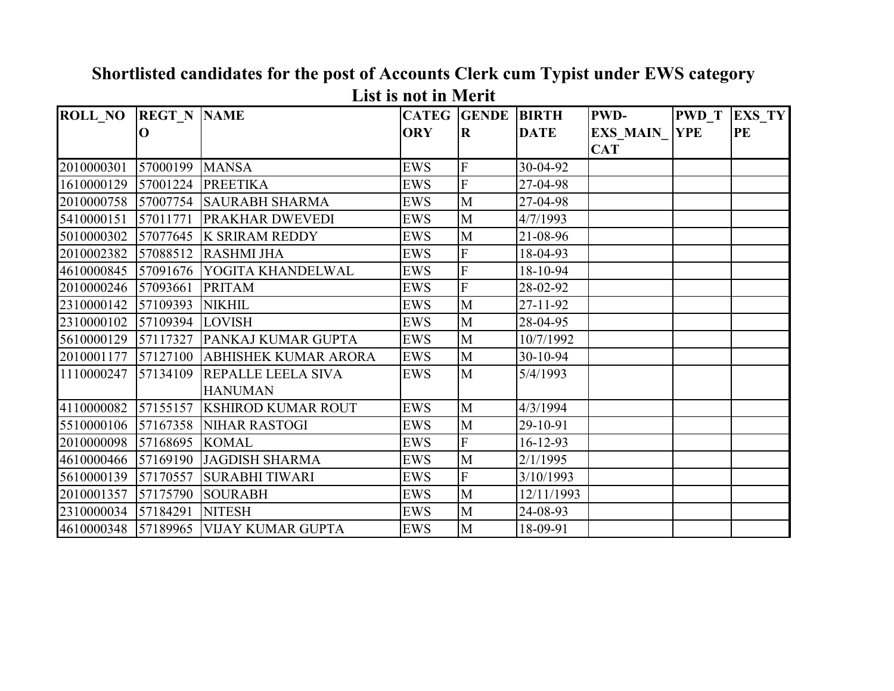| <b>ROLL NO REGT N NAME</b> |          |                             |            | <b>CATEG</b> GENDE      | <b>BIRTH</b>   | <b>PWD-</b>     | <b>PWD</b> T | <b>EXS TY</b> |
|----------------------------|----------|-----------------------------|------------|-------------------------|----------------|-----------------|--------------|---------------|
|                            | $\Omega$ |                             | <b>ORY</b> | $\bf R$                 | <b>DATE</b>    | <b>EXS MAIN</b> | <b>YPE</b>   | PE            |
|                            |          |                             |            |                         |                | <b>CAT</b>      |              |               |
| 2010000301                 | 57000199 | <b>MANSA</b>                | <b>EWS</b> | $\mathbf F$             | 30-04-92       |                 |              |               |
| 1610000129                 | 57001224 | <b>PREETIKA</b>             | <b>EWS</b> | $\overline{F}$          | 27-04-98       |                 |              |               |
| 2010000758                 | 57007754 | <b>SAURABH SHARMA</b>       | <b>EWS</b> | M                       | 27-04-98       |                 |              |               |
| 5410000151                 | 57011771 | PRAKHAR DWEVEDI             | <b>EWS</b> | M                       | 4/7/1993       |                 |              |               |
| 5010000302                 | 57077645 | <b>K SRIRAM REDDY</b>       | <b>EWS</b> | M                       | 21-08-96       |                 |              |               |
| 2010002382                 | 57088512 | <b>RASHMI JHA</b>           | <b>EWS</b> | $\mathbf F$             | 18-04-93       |                 |              |               |
| 4610000845 57091676        |          | YOGITA KHANDELWAL           | <b>EWS</b> | F                       | 18-10-94       |                 |              |               |
| 2010000246                 | 57093661 | <b>PRITAM</b>               | <b>EWS</b> | F                       | 28-02-92       |                 |              |               |
| 2310000142 57109393        |          | <b>NIKHIL</b>               | <b>EWS</b> | M                       | $27 - 11 - 92$ |                 |              |               |
| 2310000102                 | 57109394 | <b>LOVISH</b>               | <b>EWS</b> | M                       | 28-04-95       |                 |              |               |
| 5610000129                 | 57117327 | PANKAJ KUMAR GUPTA          | <b>EWS</b> | M                       | 10/7/1992      |                 |              |               |
| 2010001177                 | 57127100 | <b>ABHISHEK KUMAR ARORA</b> | <b>EWS</b> | M                       | 30-10-94       |                 |              |               |
| 1110000247                 | 57134109 | REPALLE LEELA SIVA          | <b>EWS</b> | M                       | 5/4/1993       |                 |              |               |
|                            |          | <b>HANUMAN</b>              |            |                         |                |                 |              |               |
| 4110000082                 | 57155157 | <b>KSHIROD KUMAR ROUT</b>   | <b>EWS</b> | M                       | 4/3/1994       |                 |              |               |
| 5510000106                 | 57167358 | <b>NIHAR RASTOGI</b>        | <b>EWS</b> | M                       | 29-10-91       |                 |              |               |
|                            |          | <b>KOMAL</b>                | <b>EWS</b> | F                       | $16 - 12 - 93$ |                 |              |               |
| 4610000466 57169190        |          | <b>JAGDISH SHARMA</b>       | <b>EWS</b> | M                       | 2/1/1995       |                 |              |               |
| 5610000139                 | 57170557 | <b>SURABHI TIWARI</b>       | <b>EWS</b> | $\overline{\mathrm{F}}$ | 3/10/1993      |                 |              |               |
| 2010001357                 | 57175790 | <b>SOURABH</b>              | <b>EWS</b> | M                       | 12/11/1993     |                 |              |               |
| 2310000034                 | 57184291 | <b>NITESH</b>               | <b>EWS</b> | M                       | 24-08-93       |                 |              |               |
|                            |          | <b>VIJAY KUMAR GUPTA</b>    | <b>EWS</b> | M                       | 18-09-91       |                 |              |               |

**Shortlisted candidates for the post of Accounts Clerk cum Typist under EWS category List is not in Merit**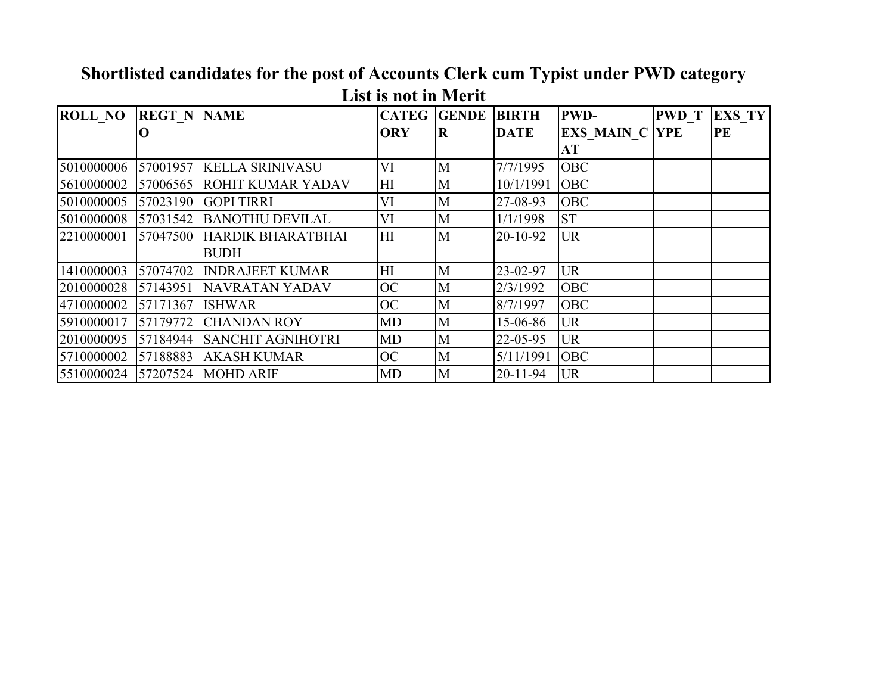| <b>ROLL NO</b> | <b>REGT N NAME</b> |                            |            | <b>CATEG GENDE BIRTH</b> |                | <b>PWD-</b>           | <b>PWD</b> T | <b>EXS TY</b> |
|----------------|--------------------|----------------------------|------------|--------------------------|----------------|-----------------------|--------------|---------------|
|                |                    |                            | <b>ORY</b> | R                        | <b>DATE</b>    | <b>EXS MAIN C YPE</b> |              | PE            |
|                |                    |                            |            |                          |                | AT                    |              |               |
| 5010000006     | 57001957           | <b>KELLA SRINIVASU</b>     | VI         | M                        | 7/7/1995       | <b>OBC</b>            |              |               |
| 5610000002     |                    | 57006565 ROHIT KUMAR YADAV | HI         | M                        | 10/1/1991      | <b>OBC</b>            |              |               |
| 5010000005     |                    | 57023190 GOPI TIRRI        | VI         | M                        | 27-08-93       | <b>OBC</b>            |              |               |
| 5010000008     |                    | 57031542 BANOTHU DEVILAL   | VI         | M                        | 1/1/1998       | <b>ST</b>             |              |               |
| 2210000001     | 57047500           | HARDIK BHARATBHAI          | H          | M                        | 20-10-92       | <b>UR</b>             |              |               |
|                |                    | <b>BUDH</b>                |            |                          |                |                       |              |               |
| 1410000003     |                    | 57074702 INDRAJEET KUMAR   | HI         | M                        | 23-02-97       | <b>UR</b>             |              |               |
| 2010000028     | 57143951           | NAVRATAN YADAV             | <b>OC</b>  | M                        | 2/3/1992       | <b>OBC</b>            |              |               |
| 4710000002     | 57171367           | <b>ISHWAR</b>              | <b>OC</b>  | M                        | 8/7/1997       | <b>OBC</b>            |              |               |
| 5910000017     | 57179772           | <b>CHANDAN ROY</b>         | MD         | $\mathbf{M}$             | 15-06-86       | <b>UR</b>             |              |               |
| 2010000095     |                    | 57184944 SANCHIT AGNIHOTRI | MD         | M                        | 22-05-95       | <b>UR</b>             |              |               |
| 5710000002     |                    | 57188883 AKASH KUMAR       | <b>OC</b>  | M                        | 5/11/1991      | <b>OBC</b>            |              |               |
| 5510000024     |                    | 57207524 MOHD ARIF         | <b>MD</b>  | M                        | $20 - 11 - 94$ | <b>UR</b>             |              |               |

**Shortlisted candidates for the post of Accounts Clerk cum Typist under PWD category List is not in Merit**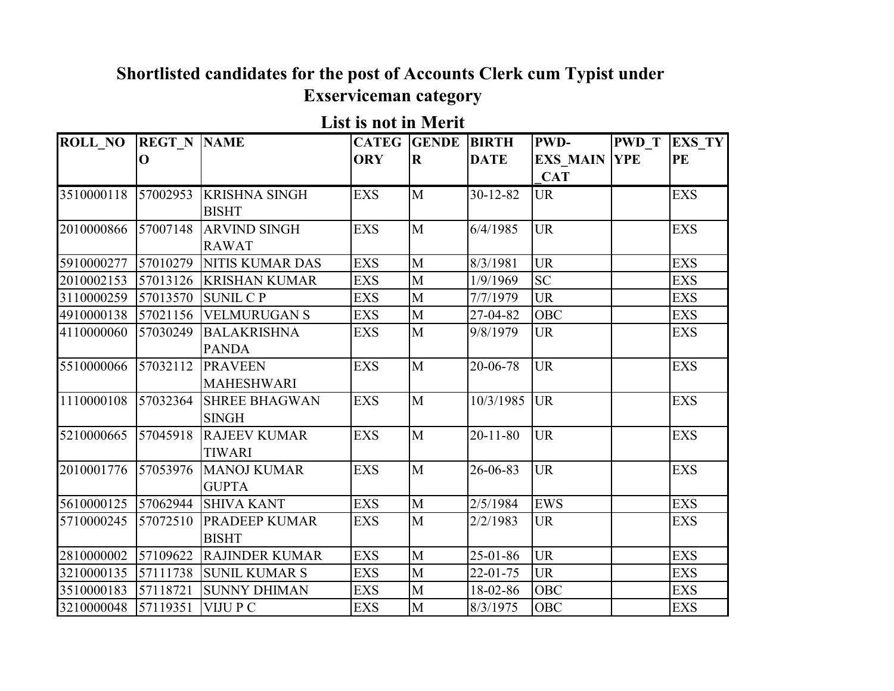## **Shortlisted candidates for the post of Accounts Clerk cum Typist under Exserviceman category**

**List is not in Merit**

| <b>ROLL NO</b> | <b>REGT_N NAME</b> |                                      | <b>CATEG</b> | <b>GENDE</b> | <b>BIRTH</b>   | <b>PWD-</b>                       | <b>PWD T</b> | <b>EXS TY</b> |
|----------------|--------------------|--------------------------------------|--------------|--------------|----------------|-----------------------------------|--------------|---------------|
|                | O                  |                                      | <b>ORY</b>   | $\mathbf R$  | <b>DATE</b>    | <b>EXS MAIN YPE</b><br><b>CAT</b> |              | PE            |
| 3510000118     | 57002953           | <b>KRISHNA SINGH</b><br><b>BISHT</b> | <b>EXS</b>   | M            | $30 - 12 - 82$ | <b>UR</b>                         |              | <b>EXS</b>    |
| 2010000866     | 57007148           | <b>ARVIND SINGH</b><br><b>RAWAT</b>  | <b>EXS</b>   | M            | 6/4/1985       | <b>UR</b>                         |              | <b>EXS</b>    |
| 5910000277     | 57010279           | <b>NITIS KUMAR DAS</b>               | <b>EXS</b>   | $\mathbf{M}$ | 8/3/1981       | <b>UR</b>                         |              | <b>EXS</b>    |
| 2010002153     | 57013126           | <b>KRISHAN KUMAR</b>                 | <b>EXS</b>   | $\mathbf{M}$ | 1/9/1969       | <b>SC</b>                         |              | <b>EXS</b>    |
| 3110000259     | 57013570           | <b>SUNIL CP</b>                      | <b>EXS</b>   | $\mathbf{M}$ | 7/7/1979       | <b>UR</b>                         |              | <b>EXS</b>    |
| 4910000138     | 57021156           | <b>VELMURUGAN S</b>                  | <b>EXS</b>   | $\mathbf M$  | 27-04-82       | <b>OBC</b>                        |              | <b>EXS</b>    |
| 4110000060     | 57030249           | <b>BALAKRISHNA</b><br><b>PANDA</b>   | <b>EXS</b>   | M            | 9/8/1979       | <b>UR</b>                         |              | <b>EXS</b>    |
| 5510000066     | 57032112           | <b>PRAVEEN</b><br><b>MAHESHWARI</b>  | <b>EXS</b>   | M            | 20-06-78       | <b>UR</b>                         |              | <b>EXS</b>    |
| 1110000108     | 57032364           | <b>SHREE BHAGWAN</b><br><b>SINGH</b> | <b>EXS</b>   | M            | 10/3/1985      | <b>UR</b>                         |              | <b>EXS</b>    |
| 5210000665     | 57045918           | <b>RAJEEV KUMAR</b><br><b>TIWARI</b> | <b>EXS</b>   | M            | $20 - 11 - 80$ | <b>UR</b>                         |              | <b>EXS</b>    |
| 2010001776     | 57053976           | <b>MANOJ KUMAR</b><br><b>GUPTA</b>   | <b>EXS</b>   | M            | 26-06-83       | <b>UR</b>                         |              | <b>EXS</b>    |
| 5610000125     | 57062944           | <b>SHIVA KANT</b>                    | <b>EXS</b>   | $\mathbf{M}$ | 2/5/1984       | <b>EWS</b>                        |              | <b>EXS</b>    |
| 5710000245     | 57072510           | <b>PRADEEP KUMAR</b><br><b>BISHT</b> | <b>EXS</b>   | M            | 2/2/1983       | <b>UR</b>                         |              | <b>EXS</b>    |
| 2810000002     | 57109622           | <b>RAJINDER KUMAR</b>                | <b>EXS</b>   | $\mathbf{M}$ | $25 - 01 - 86$ | <b>UR</b>                         |              | <b>EXS</b>    |
| 3210000135     | 57111738           | <b>SUNIL KUMAR S</b>                 | <b>EXS</b>   | $\mathbf{M}$ | $22 - 01 - 75$ | <b>UR</b>                         |              | <b>EXS</b>    |
| 3510000183     | 57118721           | <b>SUNNY DHIMAN</b>                  | <b>EXS</b>   | $\mathbf{M}$ | 18-02-86       | <b>OBC</b>                        |              | <b>EXS</b>    |
| 3210000048     | 57119351           | <b>VIJUPC</b>                        | <b>EXS</b>   | M            | 8/3/1975       | <b>OBC</b>                        |              | <b>EXS</b>    |